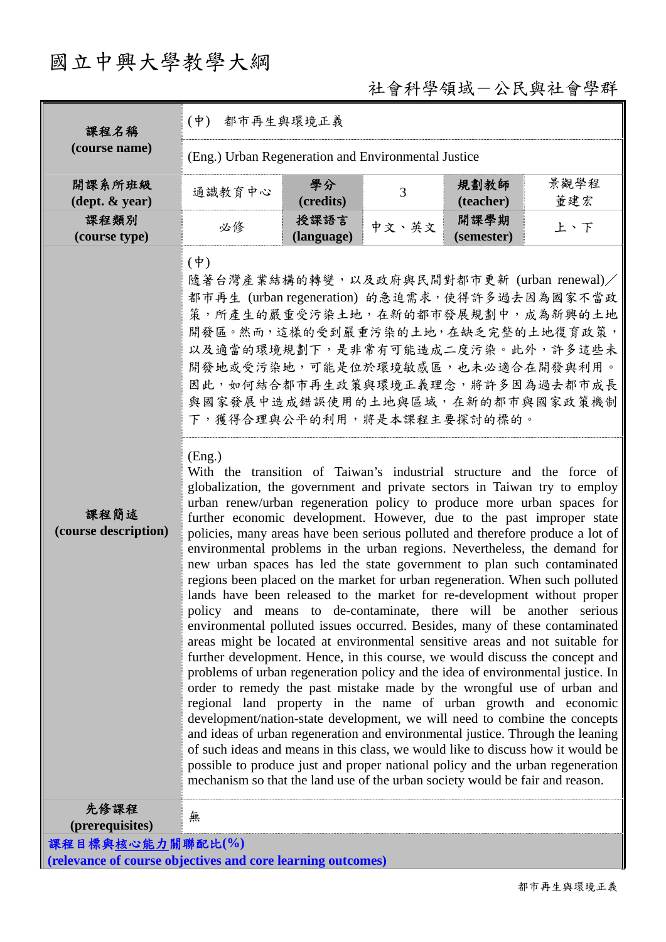# 國立中興大學教學大綱

## 社會科學領域-公民與社會學群

| 課程名稱                                                        | $(\phi)$                                                                                                                                                                                                                                                   | 都市再生與環境正義          |       |                    |                                                                                                                                                                                                                                                                                                                                                                                                                                                                                                                                                                                                                                                                                                                                                                                                                                                                                                                                                                                                                                                                                                                                                                                                                                                                                                                                                                                                                                                                                                                                                                                                                                                                                                                                                                                                              |  |  |
|-------------------------------------------------------------|------------------------------------------------------------------------------------------------------------------------------------------------------------------------------------------------------------------------------------------------------------|--------------------|-------|--------------------|--------------------------------------------------------------------------------------------------------------------------------------------------------------------------------------------------------------------------------------------------------------------------------------------------------------------------------------------------------------------------------------------------------------------------------------------------------------------------------------------------------------------------------------------------------------------------------------------------------------------------------------------------------------------------------------------------------------------------------------------------------------------------------------------------------------------------------------------------------------------------------------------------------------------------------------------------------------------------------------------------------------------------------------------------------------------------------------------------------------------------------------------------------------------------------------------------------------------------------------------------------------------------------------------------------------------------------------------------------------------------------------------------------------------------------------------------------------------------------------------------------------------------------------------------------------------------------------------------------------------------------------------------------------------------------------------------------------------------------------------------------------------------------------------------------------|--|--|
| (course name)                                               | (Eng.) Urban Regeneration and Environmental Justice                                                                                                                                                                                                        |                    |       |                    |                                                                                                                                                                                                                                                                                                                                                                                                                                                                                                                                                                                                                                                                                                                                                                                                                                                                                                                                                                                                                                                                                                                                                                                                                                                                                                                                                                                                                                                                                                                                                                                                                                                                                                                                                                                                              |  |  |
| 開課系所班級                                                      | 通識教育中心                                                                                                                                                                                                                                                     | 學分                 | 3     | 規劃教師               | 景觀學程                                                                                                                                                                                                                                                                                                                                                                                                                                                                                                                                                                                                                                                                                                                                                                                                                                                                                                                                                                                                                                                                                                                                                                                                                                                                                                                                                                                                                                                                                                                                                                                                                                                                                                                                                                                                         |  |  |
| $(\text{dept.} \& \text{ year})$                            |                                                                                                                                                                                                                                                            | (credits)          |       | (teacher)          | 董建宏                                                                                                                                                                                                                                                                                                                                                                                                                                                                                                                                                                                                                                                                                                                                                                                                                                                                                                                                                                                                                                                                                                                                                                                                                                                                                                                                                                                                                                                                                                                                                                                                                                                                                                                                                                                                          |  |  |
| 課程類別<br>(course type)                                       | 必修                                                                                                                                                                                                                                                         | 授課語言<br>(language) | 中文、英文 | 開課學期<br>(semester) | 上、下                                                                                                                                                                                                                                                                                                                                                                                                                                                                                                                                                                                                                                                                                                                                                                                                                                                                                                                                                                                                                                                                                                                                                                                                                                                                                                                                                                                                                                                                                                                                                                                                                                                                                                                                                                                                          |  |  |
| 課程簡述<br>(course description)                                | $(\dagger)$<br>隨著台灣產業結構的轉變,以及政府與民間對都市更新 (urban renewal)/<br>開發區。然而,這樣的受到嚴重污染的土地,在缺乏完整的土地復育政策,<br>開發地或受污染地,可能是位於環境敏感區,也未必適合在開發與利用。<br>下,獲得合理與公平的利用,將是本課程主要探討的標的。<br>(Eng.)<br>mechanism so that the land use of the urban society would be fair and reason. |                    |       |                    | 都市再生 (urban regeneration) 的急迫需求, 使得許多過去因為國家不當政<br><b>策,所產生的嚴重受污染土地,在新的都市發展規劃中,成為新興的土地</b><br>以及適當的環境規劃下,是非常有可能造成二度污染。此外,許多這些未<br>因此,如何結合都市再生政策與環境正義理念,將許多因為過去都市成長<br>與國家發展中造成錯誤使用的土地與區域,在新的都市與國家政策機制<br>With the transition of Taiwan's industrial structure and the force of<br>globalization, the government and private sectors in Taiwan try to employ<br>urban renew/urban regeneration policy to produce more urban spaces for<br>further economic development. However, due to the past improper state<br>policies, many areas have been serious polluted and therefore produce a lot of<br>environmental problems in the urban regions. Nevertheless, the demand for<br>new urban spaces has led the state government to plan such contaminated<br>regions been placed on the market for urban regeneration. When such polluted<br>lands have been released to the market for re-development without proper<br>policy and means to de-contaminate, there will be another serious<br>environmental polluted issues occurred. Besides, many of these contaminated<br>areas might be located at environmental sensitive areas and not suitable for<br>further development. Hence, in this course, we would discuss the concept and<br>problems of urban regeneration policy and the idea of environmental justice. In<br>order to remedy the past mistake made by the wrongful use of urban and<br>regional land property in the name of urban growth and economic<br>development/nation-state development, we will need to combine the concepts<br>and ideas of urban regeneration and environmental justice. Through the leaning<br>of such ideas and means in this class, we would like to discuss how it would be<br>possible to produce just and proper national policy and the urban regeneration |  |  |
| 先修課程<br>(prerequisites)                                     | 無                                                                                                                                                                                                                                                          |                    |       |                    |                                                                                                                                                                                                                                                                                                                                                                                                                                                                                                                                                                                                                                                                                                                                                                                                                                                                                                                                                                                                                                                                                                                                                                                                                                                                                                                                                                                                                                                                                                                                                                                                                                                                                                                                                                                                              |  |  |
| 課程目標與核心能力關聯配比(%)                                            |                                                                                                                                                                                                                                                            |                    |       |                    |                                                                                                                                                                                                                                                                                                                                                                                                                                                                                                                                                                                                                                                                                                                                                                                                                                                                                                                                                                                                                                                                                                                                                                                                                                                                                                                                                                                                                                                                                                                                                                                                                                                                                                                                                                                                              |  |  |
| (relevance of course objectives and core learning outcomes) |                                                                                                                                                                                                                                                            |                    |       |                    |                                                                                                                                                                                                                                                                                                                                                                                                                                                                                                                                                                                                                                                                                                                                                                                                                                                                                                                                                                                                                                                                                                                                                                                                                                                                                                                                                                                                                                                                                                                                                                                                                                                                                                                                                                                                              |  |  |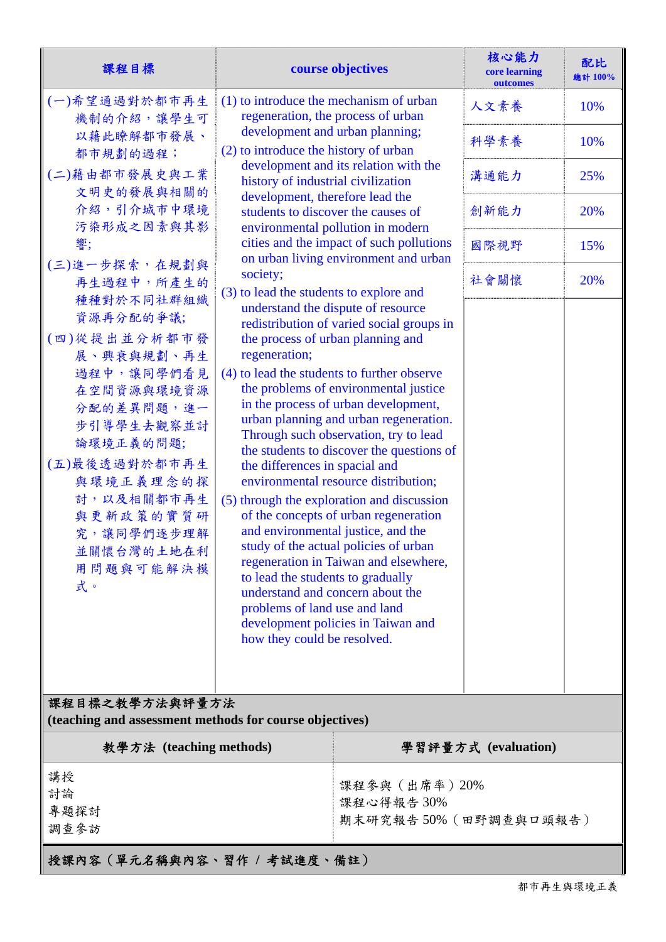| 課程目標                                                                                                                                                                                                                 | course objectives                                                                                                                                                                                                                                                                                                                                                                                                                                                                                                                                                                                                                                                                                                                                                                                                                                                             |                                 | 核心能力<br>core learning<br>outcomes | 配比<br>總計 100% |  |  |
|----------------------------------------------------------------------------------------------------------------------------------------------------------------------------------------------------------------------|-------------------------------------------------------------------------------------------------------------------------------------------------------------------------------------------------------------------------------------------------------------------------------------------------------------------------------------------------------------------------------------------------------------------------------------------------------------------------------------------------------------------------------------------------------------------------------------------------------------------------------------------------------------------------------------------------------------------------------------------------------------------------------------------------------------------------------------------------------------------------------|---------------------------------|-----------------------------------|---------------|--|--|
| (一)希望通過對於都市再生<br>機制的介紹,讓學生可                                                                                                                                                                                          | (1) to introduce the mechanism of urban<br>regeneration, the process of urban                                                                                                                                                                                                                                                                                                                                                                                                                                                                                                                                                                                                                                                                                                                                                                                                 |                                 | 人文素養                              | 10%           |  |  |
| 以藉此瞭解都市發展、<br>都市規劃的過程;                                                                                                                                                                                               | development and urban planning;<br>(2) to introduce the history of urban                                                                                                                                                                                                                                                                                                                                                                                                                                                                                                                                                                                                                                                                                                                                                                                                      | development, therefore lead the | 科學素養                              | 10%           |  |  |
| (二)藉由都市發展史與工業<br>文明史的發展與相關的<br>介紹,引介城市中環境<br>污染形成之因素與其影                                                                                                                                                              | development and its relation with the<br>history of industrial civilization                                                                                                                                                                                                                                                                                                                                                                                                                                                                                                                                                                                                                                                                                                                                                                                                   |                                 | 溝通能力                              | 25%           |  |  |
|                                                                                                                                                                                                                      | students to discover the causes of<br>environmental pollution in modern                                                                                                                                                                                                                                                                                                                                                                                                                                                                                                                                                                                                                                                                                                                                                                                                       |                                 | 創新能力                              | 20%           |  |  |
| 響;                                                                                                                                                                                                                   | cities and the impact of such pollutions<br>on urban living environment and urban                                                                                                                                                                                                                                                                                                                                                                                                                                                                                                                                                                                                                                                                                                                                                                                             |                                 | 國際視野                              | 15%           |  |  |
| (三)進一步探索,在規劃與<br>再生過程中,所產生的<br>種種對於不同社群組織                                                                                                                                                                            | society;<br>(3) to lead the students to explore and                                                                                                                                                                                                                                                                                                                                                                                                                                                                                                                                                                                                                                                                                                                                                                                                                           |                                 | 社會關懷                              | 20%           |  |  |
| 資源再分配的爭議;<br>(四)從提出並分析都市發<br>展、興衰與規劃、再生<br>過程中,讓同學們看見<br>在空間資源與環境資源<br>分配的差異問題,進一<br>步引導學生去觀察並討<br>論環境正義的問題;<br>(五)最後透過對於都市再生<br>與環境正義理念的探<br>討,以及相關都市再生<br>與更新政策的實質研<br>究,讓同學們逐步理解<br>並關懷台灣的土地在利<br>用問題與可能解決模<br>式。 | understand the dispute of resource<br>redistribution of varied social groups in<br>the process of urban planning and<br>regeneration;<br>(4) to lead the students to further observe<br>the problems of environmental justice<br>in the process of urban development,<br>urban planning and urban regeneration.<br>Through such observation, try to lead<br>the students to discover the questions of<br>the differences in spacial and<br>environmental resource distribution;<br>(5) through the exploration and discussion<br>of the concepts of urban regeneration<br>and environmental justice, and the<br>study of the actual policies of urban<br>regeneration in Taiwan and elsewhere,<br>to lead the students to gradually<br>understand and concern about the<br>problems of land use and land<br>development policies in Taiwan and<br>how they could be resolved. |                                 |                                   |               |  |  |
|                                                                                                                                                                                                                      |                                                                                                                                                                                                                                                                                                                                                                                                                                                                                                                                                                                                                                                                                                                                                                                                                                                                               |                                 |                                   |               |  |  |
| 課程目標之教學方法與評量方法<br>(teaching and assessment methods for course objectives)                                                                                                                                            |                                                                                                                                                                                                                                                                                                                                                                                                                                                                                                                                                                                                                                                                                                                                                                                                                                                                               |                                 |                                   |               |  |  |
| 教學方法 (teaching methods)                                                                                                                                                                                              |                                                                                                                                                                                                                                                                                                                                                                                                                                                                                                                                                                                                                                                                                                                                                                                                                                                                               |                                 | 學習評量方式 (evaluation)               |               |  |  |
| 講授<br>討論<br>專題探討<br>調查參訪                                                                                                                                                                                             |                                                                                                                                                                                                                                                                                                                                                                                                                                                                                                                                                                                                                                                                                                                                                                                                                                                                               | 課程參與 (出席率) 20%<br>課程心得報告30%     | 期末研究報告50% (田野調查與口頭報告)             |               |  |  |
| 授課內容(單元名稱與內容、習作 / 考試進度、備註)                                                                                                                                                                                           |                                                                                                                                                                                                                                                                                                                                                                                                                                                                                                                                                                                                                                                                                                                                                                                                                                                                               |                                 |                                   |               |  |  |